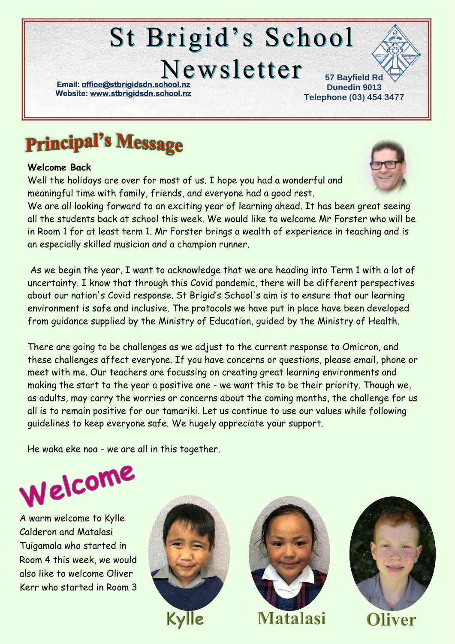# **St Brigid's School** Newsletter

**Email: office@stbrigidsdn.school Website[: www.stbrigidsdn.school.nz](http://www.stbrigidsdn.school.nz/)** 

**57 Bayfield Rd Dunedin 9013 Telephone (03) 454 3477** 

## **Principal's Message**

#### **Welcome Back**

Well the holidays are over for most of us. I hope you had a wonderful and meaningful time with family, friends, and everyone had a good rest.



We are all looking forward to an exciting year of learning ahead. It has been great seeing all the students back at school this week. We would like to welcome Mr Forster who will be in Room 1 for at least term 1. Mr Forster brings a wealth of experience in teaching and is an especially skilled musician and a champion runner.

As we begin the year, I want to acknowledge that we are heading into Term 1 with a lot of uncertainty. I know that through this Covid pandemic, there will be different perspectives about our nation's Covid response. St Brigid's School's aim is to ensure that our learning environment is safe and inclusive. The protocols we have put in place have been developed from guidance supplied by the Ministry of Education, guided by the Ministry of Health.

There are going to be challenges as we adjust to the current response to Omicron, and these challenges affect everyone. If you have concerns or questions, please email, phone or meet with me. Our teachers are focussing on creating great learning environments and making the start to the year a positive one - we want this to be their priority. Though we, as adults, may carry the worries or concerns about the coming months, the challenge for us all is to remain positive for our tamariki. Let us continue to use our values while following guidelines to keep everyone safe. We hugely appreciate your support.

He waka eke noa - we are all in this together.



A warm welcome to Kylle Calderon and Matalasi Tuigamala who started in Room 4 this week, we would also like to welcome Oliver Kerr who started in Room 3









**Oliver**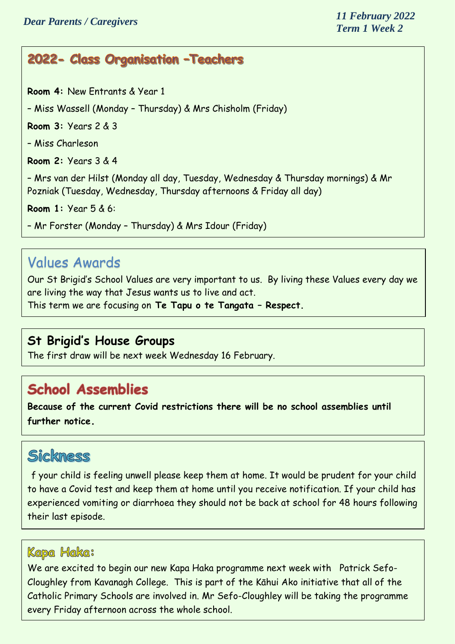#### 2022- Class Organisation - Teachers

**Room 4:** New Entrants & Year 1

– Miss Wassell (Monday – Thursday) & Mrs Chisholm (Friday)

**Room 3:** Years 2 & 3

– Miss Charleson

**Room 2:** Years 3 & 4

– Mrs van der Hilst (Monday all day, Tuesday, Wednesday & Thursday mornings) & Mr Pozniak (Tuesday, Wednesday, Thursday afternoons & Friday all day)

**Room 1:** Year 5 & 6:

– Mr Forster (Monday – Thursday) & Mrs Idour (Friday)

#### Values Awards

Our St Brigid's School Values are very important to us. By living these Values every day we are living the way that Jesus wants us to live and act.

This term we are focusing on **Te Tapu o te Tangata – Respect.** 

#### **St Brigid's House Groups**

The first draw will be next week Wednesday 16 February.

### **School Assemblies**

**Because of the current Covid restrictions there will be no school assemblies until further notice.**

#### Sickness

f your child is feeling unwell please keep them at home. It would be prudent for your child to have a Covid test and keep them at home until you receive notification. If your child has experienced vomiting or diarrhoea they should not be back at school for 48 hours following their last episode.

#### Kapa Haka:

We are excited to begin our new Kapa Haka programme next week with Patrick Sefo-Cloughley from Kavanagh College. This is part of the Kāhui Ako initiative that all of the Catholic Primary Schools are involved in. Mr Sefo-Cloughley will be taking the programme every Friday afternoon across the whole school.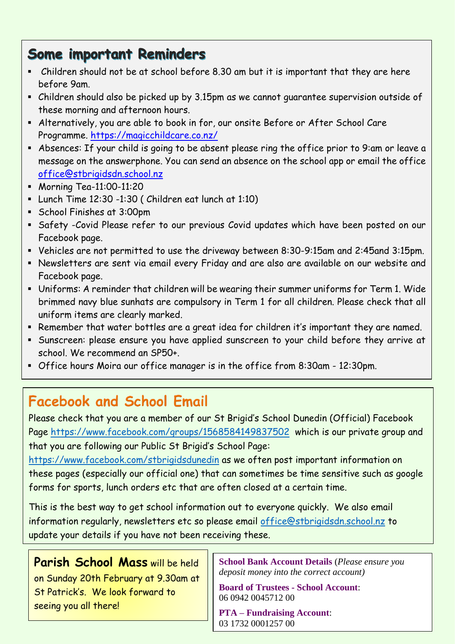### **Some important Reminders**

- Children should not be at school before 8.30 am but it is important that they are here before 9am.
- Children should also be picked up by 3.15pm as we cannot guarantee supervision outside of these morning and afternoon hours.
- Alternatively, you are able to book in for, our onsite Before or After School Care Programme.<https://magicchildcare.co.nz/>
- Absences: If your child is going to be absent please ring the office prior to 9:am or leave a message on the answerphone. You can send an absence on the school app or email the office [office@stbrigidsdn.school.nz](mailto:office@stbrigidsdn.school.nz)
- **Morning Tea-11:00-11:20**
- Lunch Time 12:30 -1:30 ( Children eat lunch at 1:10)
- School Finishes at 3:00pm
- Safety -Covid Please refer to our previous Covid updates which have been posted on our Facebook page.
- Vehicles are not permitted to use the driveway between 8:30-9:15am and 2:45and 3:15pm.
- Newsletters are sent via email every Friday and are also are available on our website and Facebook page.
- Uniforms: A reminder that children will be wearing their summer uniforms for Term 1. Wide brimmed navy blue sunhats are compulsory in Term 1 for all children. Please check that all uniform items are clearly marked.
- Remember that water bottles are a great idea for children it's important they are named.
- Sunscreen: please ensure you have applied sunscreen to your child before they arrive at school. We recommend an SP50+.
- Office hours Moira our office manager is in the office from 8:30am 12:30pm.

## **Facebook and School Email**

Please check that you are a member of our St Brigid's School Dunedin (Official) Facebook Page<https://www.facebook.com/groups/1568584149837502>which is our private group and that you are following our Public St Brigid's School Page:

<https://www.facebook.com/stbrigidsdunedin> as we often post important information on these pages (especially our official one) that can sometimes be time sensitive such as google forms for sports, lunch orders etc that are often closed at a certain time.

This is the best way to get school information out to everyone quickly. We also email information regularly, newsletters etc so please email [office@stbrigidsdn.school.nz](mailto:office@stbrigidsdn.school.nz) to update your details if you have not been receiving these.

**Parish School Mass** will be held on Sunday 20th February at 9.30am at St Patrick's. We look forward to seeing you all there!

**School Bank Account Details** (*Please ensure you deposit money into the correct account)*

**Board of Trustees - School Account**: 06 0942 0045712 00

**PTA – Fundraising Account**: 03 1732 0001257 00